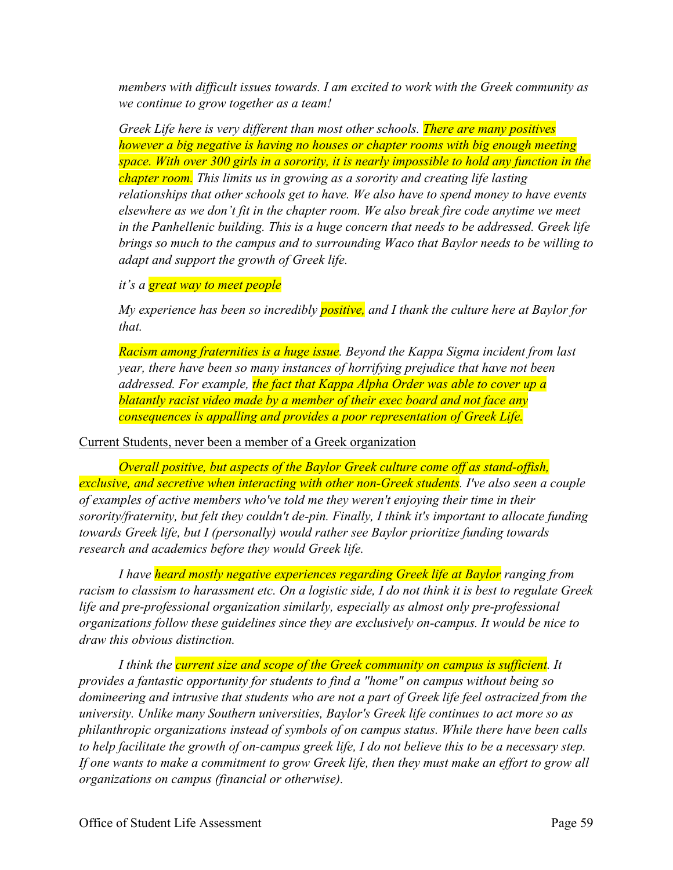*members with difficult issues towards. I am excited to work with the Greek community as we continue to grow together as a team!*

*Greek Life here is very different than most other schools. There are many positives however a big negative is having no houses or chapter rooms with big enough meeting space. With over 300 girls in a sorority, it is nearly impossible to hold any function in the chapter room. This limits us in growing as a sorority and creating life lasting relationships that other schools get to have. We also have to spend money to have events elsewhere as we don't fit in the chapter room. We also break fire code anytime we meet in the Panhellenic building. This is a huge concern that needs to be addressed. Greek life brings so much to the campus and to surrounding Waco that Baylor needs to be willing to adapt and support the growth of Greek life.*

## *it's a great way to meet people*

*My experience has been so incredibly positive, and I thank the culture here at Baylor for that.*

*Racism among fraternities is a huge issue. Beyond the Kappa Sigma incident from last year, there have been so many instances of horrifying prejudice that have not been addressed. For example, the fact that Kappa Alpha Order was able to cover up a blatantly racist video made by a member of their exec board and not face any consequences is appalling and provides a poor representation of Greek Life.*

## Current Students, never been a member of a Greek organization

*Overall positive, but aspects of the Baylor Greek culture come off as stand-offish, exclusive, and secretive when interacting with other non-Greek students. I've also seen a couple of examples of active members who've told me they weren't enjoying their time in their sorority/fraternity, but felt they couldn't de-pin. Finally, I think it's important to allocate funding towards Greek life, but I (personally) would rather see Baylor prioritize funding towards research and academics before they would Greek life.*

*I have heard mostly negative experiences regarding Greek life at Baylor ranging from racism to classism to harassment etc. On a logistic side, I do not think it is best to regulate Greek life and pre-professional organization similarly, especially as almost only pre-professional organizations follow these guidelines since they are exclusively on-campus. It would be nice to draw this obvious distinction.*

*I think the current size and scope of the Greek community on campus is sufficient. It provides a fantastic opportunity for students to find a "home" on campus without being so domineering and intrusive that students who are not a part of Greek life feel ostracized from the university. Unlike many Southern universities, Baylor's Greek life continues to act more so as philanthropic organizations instead of symbols of on campus status. While there have been calls to help facilitate the growth of on-campus greek life, I do not believe this to be a necessary step. If one wants to make a commitment to grow Greek life, then they must make an effort to grow all organizations on campus (financial or otherwise).*